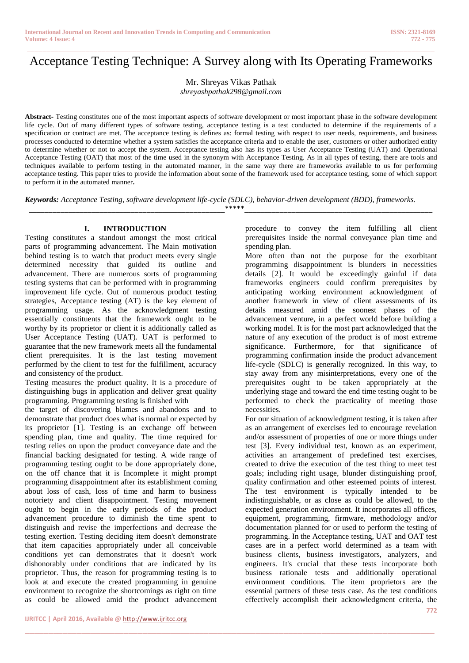# \_\_\_\_\_\_\_\_\_\_\_\_\_\_\_\_\_\_\_\_\_\_\_\_\_\_\_\_\_\_\_\_\_\_\_\_\_\_\_\_\_\_\_\_\_\_\_\_\_\_\_\_\_\_\_\_\_\_\_\_\_\_\_\_\_\_\_\_\_\_\_\_\_\_\_\_\_\_\_\_\_\_\_\_\_\_\_\_\_\_\_\_\_\_\_\_\_\_\_\_\_\_\_\_ Acceptance Testing Technique: A Survey along with Its Operating Frameworks

Mr. Shreyas Vikas Pathak

*shreyashpathak298@gmail.com*

**Abstract-** Testing constitutes one of the most important aspects of software development or most important phase in the software development life cycle. Out of many different types of software testing, acceptance testing is a test conducted to determine if the requirements of a [specification](https://en.wikipedia.org/wiki/Specification) or [contract](https://en.wikipedia.org/wiki/Contract) are met. The acceptance testing is defines as: formal testing with respect to user needs, requirements, and business processes conducted to determine whether a system satisfies the acceptance criteria and to enable the user, customers or other authorized entity to determine whether or not to accept the system. Acceptance testing also has its types as User Acceptance Testing (UAT) and Operational Acceptance Testing (OAT) that most of the time used in the synonym with Acceptance Testing. As in all types of testing, there are tools and techniques available to perform testing in the automated manner, in the same way there are frameworks available to us for performing acceptance testing. This paper tries to provide the information about some of the framework used for acceptance testing, some of which support to perform it in the automated manner**.** 

*Keywords: Acceptance Testing, software development life-cycle (SDLC), [behavior-driven development](https://en.wikipedia.org/wiki/Behavior-driven_development) (BDD), frameworks.*

\_\_\_\_\_\_\_\_\_\_\_\_\_\_\_\_\_\_\_\_\_\_\_\_\_\_\_\_\_\_\_\_\_\_\_\_\_\_\_\_\_\_\_\_\_\_\_\_\_\_\*\*\*\*\*\_\_\_\_\_\_\_\_\_\_\_\_\_\_\_\_\_\_\_\_\_\_\_\_\_\_\_\_\_\_\_\_\_\_\_\_\_\_\_\_\_\_\_\_\_\_\_\_

\_\_\_\_\_\_\_\_\_\_\_\_\_\_\_\_\_\_\_\_\_\_\_\_\_\_\_\_\_\_\_\_\_\_\_\_\_\_\_\_\_\_\_\_\_\_\_\_\_\_\_\_\_\_\_\_\_\_\_\_\_\_\_\_\_\_\_\_\_\_\_\_\_\_\_\_\_\_\_\_\_\_\_\_\_\_\_

# **I. INTRODUCTION**

Testing constitutes a standout amongst the most critical parts of programming advancement. The Main motivation behind testing is to watch that product meets every single determined necessity that guided its outline and advancement. There are numerous sorts of programming testing systems that can be performed with in programming improvement life cycle. Out of numerous product testing strategies, Acceptance testing (AT) is the key element of programming usage. As the acknowledgment testing essentially constituents that the framework ought to be worthy by its proprietor or client it is additionally called as User Acceptance Testing (UAT). UAT is performed to guarantee that the new framework meets all the fundamental client prerequisites. It is the last testing movement performed by the client to test for the fulfillment, accuracy and consistency of the product.

Testing measures the product quality. It is a procedure of distinguishing bugs in application and deliver great quality programming. Programming testing is finished with

the target of discovering blames and abandons and to demonstrate that product does what is normal or expected by its proprietor [1]. Testing is an exchange off between spending plan, time and quality. The time required for testing relies on upon the product conveyance date and the financial backing designated for testing. A wide range of programming testing ought to be done appropriately done, on the off chance that it is Incomplete it might prompt programming disappointment after its establishment coming about loss of cash, loss of time and harm to business notoriety and client disappointment. Testing movement ought to begin in the early periods of the product advancement procedure to diminish the time spent to distinguish and revise the imperfections and decrease the testing exertion. Testing deciding item doesn't demonstrate that item capacities appropriately under all conceivable conditions yet can demonstrates that it doesn't work dishonorably under conditions that are indicated by its proprietor. Thus, the reason for programming testing is to look at and execute the created programming in genuine environment to recognize the shortcomings as right on time as could be allowed amid the product advancement procedure to convey the item fulfilling all client prerequisites inside the normal conveyance plan time and spending plan.

More often than not the purpose for the exorbitant programming disappointment is blunders in necessities details [2]. It would be exceedingly gainful if data frameworks engineers could confirm prerequisites by anticipating working environment acknowledgment of another framework in view of client assessments of its details measured amid the soonest phases of the advancement venture, in a perfect world before building a working model. It is for the most part acknowledged that the nature of any execution of the product is of most extreme significance. Furthermore, for that significance of programming confirmation inside the product advancement life-cycle (SDLC) is generally recognized. In this way, to stay away from any misinterpretations, every one of the prerequisites ought to be taken appropriately at the underlying stage and toward the end time testing ought to be performed to check the practicality of meeting those necessities.

For our situation of acknowledgment testing, it is taken after as an arrangement of exercises led to encourage revelation and/or assessment of properties of one or more things under test [3]. Every individual test, known as an experiment, activities an arrangement of predefined test exercises, created to drive the execution of the test thing to meet test goals; including right usage, blunder distinguishing proof, quality confirmation and other esteemed points of interest. The test environment is typically intended to be indistinguishable, or as close as could be allowed, to the expected generation environment. It incorporates all offices, equipment, programming, firmware, methodology and/or documentation planned for or used to perform the testing of programming. In the Acceptance testing, UAT and OAT test cases are in a perfect world determined as a team with business clients, business investigators, analyzers, and engineers. It's crucial that these tests incorporate both business rationale tests and additionally operational environment conditions. The item proprietors are the essential partners of these tests case. As the test conditions effectively accomplish their acknowledgment criteria, the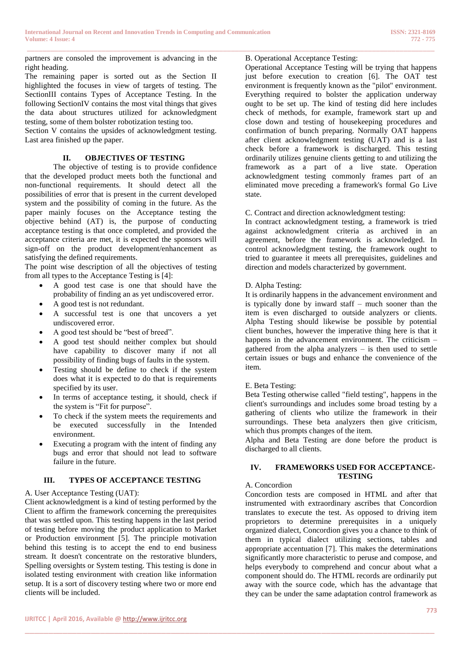partners are consoled the improvement is advancing in the right heading.

The remaining paper is sorted out as the Section II highlighted the focuses in view of targets of testing. The SectionIII contains Types of Acceptance Testing. In the following SectionIV contains the most vital things that gives the data about structures utilized for acknowledgment testing, some of them bolster robotization testing too.

Section V contains the upsides of acknowledgment testing. Last area finished up the paper.

## **II. OBJECTIVES OF TESTING**

The objective of testing is to provide confidence that the developed product meets both the functional and non-functional requirements. It should detect all the possibilities of error that is present in the current developed system and the possibility of coming in the future. As the paper mainly focuses on the Acceptance testing the objective behind (AT) is, the purpose of conducting acceptance testing is that once completed, and provided the acceptance criteria are met, it is expected the sponsors will sign-off on the product development/enhancement as satisfying the defined requirements.

The point wise description of all the objectives of testing from all types to the Acceptance Testing is [4]:

- A good test case is one that should have the probability of finding an as yet undiscovered error.
- A good test is not redundant.
- A successful test is one that uncovers a yet undiscovered error.
- A good test should be "best of breed".
- A good test should neither complex but should have capability to discover many if not all possibility of finding bugs of faults in the system.
- Testing should be define to check if the system does what it is expected to do that is requirements specified by its user.
- In terms of acceptance testing, it should, check if the system is "Fit for purpose".
- To check if the system meets the requirements and be executed successfully in the Intended environment.
- Executing a program with the intent of finding any bugs and error that should not lead to software failure in the future.

# **III. TYPES OF ACCEPTANCE TESTING**

# A. User Acceptance Testing (UAT):

Client acknowledgment is a kind of testing performed by the Client to affirm the framework concerning the prerequisites that was settled upon. This testing happens in the last period of testing before moving the product application to Market or Production environment [5]. The principle motivation behind this testing is to accept the end to end business stream. It doesn't concentrate on the restorative blunders, Spelling oversights or System testing. This testing is done in isolated testing environment with creation like information setup. It is a sort of discovery testing where two or more end clients will be included.

\_\_\_\_\_\_\_\_\_\_\_\_\_\_\_\_\_\_\_\_\_\_\_\_\_\_\_\_\_\_\_\_\_\_\_\_\_\_\_\_\_\_\_\_\_\_\_\_\_\_\_\_\_\_\_\_\_\_\_\_\_\_\_\_\_\_\_\_\_\_\_\_\_\_\_\_\_\_\_\_\_\_\_\_\_\_\_\_\_\_\_\_\_\_\_\_\_\_\_\_\_\_\_\_

Operational Acceptance Testing will be trying that happens just before execution to creation [6]. The OAT test environment is frequently known as the "pilot" environment. Everything required to bolster the application underway ought to be set up. The kind of testing did here includes check of methods, for example, framework start up and close down and testing of housekeeping procedures and confirmation of bunch preparing. Normally OAT happens after client acknowledgment testing (UAT) and is a last check before a framework is discharged. This testing ordinarily utilizes genuine clients getting to and utilizing the framework as a part of a live state. Operation acknowledgment testing commonly frames part of an eliminated move preceding a framework's formal Go Live state.

## C. Contract and direction acknowledgment testing:

In contract acknowledgment testing, a framework is tried against acknowledgment criteria as archived in an agreement, before the framework is acknowledged. In control acknowledgment testing, the framework ought to tried to guarantee it meets all prerequisites, guidelines and direction and models characterized by government.

## D. Alpha Testing:

It is ordinarily happens in the advancement environment and is typically done by inward staff – much sooner than the item is even discharged to outside analyzers or clients. Alpha Testing should likewise be possible by potential client bunches, however the imperative thing here is that it happens in the advancement environment. The criticism – gathered from the alpha analyzers – is then used to settle certain issues or bugs and enhance the convenience of the item.

# E. Beta Testing:

Beta Testing otherwise called "field testing", happens in the client's surroundings and includes some broad testing by a gathering of clients who utilize the framework in their surroundings. These beta analyzers then give criticism, which thus prompts changes of the item.

Alpha and Beta Testing are done before the product is discharged to all clients.

#### **IV. FRAMEWORKS USED FOR ACCEPTANCE-TESTING**

## A. Concordion

\_\_\_\_\_\_\_\_\_\_\_\_\_\_\_\_\_\_\_\_\_\_\_\_\_\_\_\_\_\_\_\_\_\_\_\_\_\_\_\_\_\_\_\_\_\_\_\_\_\_\_\_\_\_\_\_\_\_\_\_\_\_\_\_\_\_\_\_\_\_\_\_\_\_\_\_\_\_\_\_\_\_\_\_\_\_\_

Concordion tests are composed in HTML and after that instrumented with extraordinary ascribes that Concordion translates to execute the test. As opposed to driving item proprietors to determine prerequisites in a uniquely organized dialect, Concordion gives you a chance to think of them in typical dialect utilizing sections, tables and appropriate accentuation [7]. This makes the determinations significantly more characteristic to peruse and compose, and helps everybody to comprehend and concur about what a component should do. The HTML records are ordinarily put away with the source code, which has the advantage that they can be under the same adaptation control framework as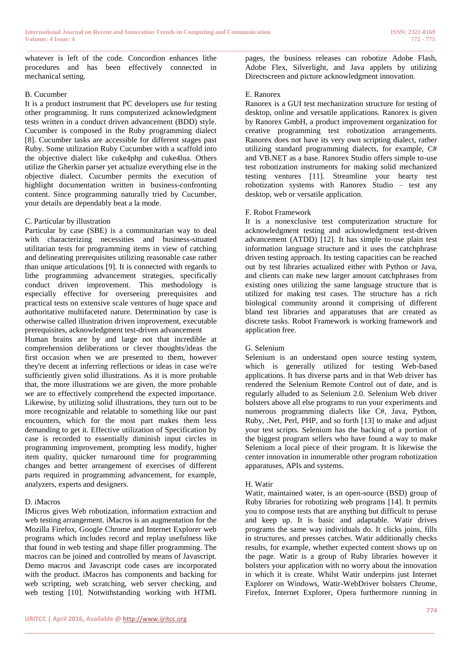whatever is left of the code. Concordion enhances lithe procedures and has been effectively connected in mechanical setting.

#### B. Cucumber

It is a product instrument that PC developers use for testing other programming. It runs computerized acknowledgment tests written in a conduct driven advancement (BDD) style. Cucumber is composed in the Ruby programming dialect [8]. Cucumber tasks are accessible for different stages past Ruby. Some utilization Ruby Cucumber with a scaffold into the objective dialect like cuke4php and cuke4lua. Others utilize the Gherkin parser yet actualize everything else in the objective dialect. Cucumber permits the execution of highlight documentation written in business-confronting content. Since programming naturally tried by Cucumber, your details are dependably beat a la mode.

## C. Particular by illustration

Particular by case (SBE) is a communitarian way to deal with characterizing necessities and business-situated utilitarian tests for programming items in view of catching and delineating prerequisites utilizing reasonable case rather than unique articulations [9]. It is connected with regards to lithe programming advancement strategies, specifically conduct driven improvement. This methodology is especially effective for overseeing prerequisites and practical tests on extensive scale ventures of huge space and authoritative multifaceted nature. Determination by case is otherwise called illustration driven improvement, executable prerequisites, acknowledgment test-driven advancement

Human brains are by and large not that incredible at comprehension deliberations or clever thoughts/ideas the first occasion when we are presented to them, however they're decent at inferring reflections or ideas in case we're sufficiently given solid illustrations. As it is more probable that, the more illustrations we are given, the more probable we are to effectively comprehend the expected importance. Likewise, by utilizing solid illustrations, they turn out to be more recognizable and relatable to something like our past encounters, which for the most part makes them less demanding to get it. Effective utilization of Specification by case is recorded to essentially diminish input circles in programming improvement, prompting less modify, higher item quality, quicker turnaround time for programming changes and better arrangement of exercises of different parts required in programming advancement, for example, analyzers, experts and designers.

## D. iMacros

IMicros gives Web robotization, information extraction and web testing arrangement. iMacros is an augmentation for the Mozilla Firefox, Google Chrome and Internet Explorer web programs which includes record and replay usefulness like that found in web testing and shape filler programming. The macros can be joined and controlled by means of Javascript. Demo macros and Javascript code cases are incorporated with the product. iMacros has components and backing for web scripting, web scratching, web server checking, and web testing [10]. Notwithstanding working with HTML pages, the business releases can robotize Adobe Flash, Adobe Flex, Silverlight, and Java applets by utilizing Directscreen and picture acknowledgment innovation.

#### E. Ranorex

\_\_\_\_\_\_\_\_\_\_\_\_\_\_\_\_\_\_\_\_\_\_\_\_\_\_\_\_\_\_\_\_\_\_\_\_\_\_\_\_\_\_\_\_\_\_\_\_\_\_\_\_\_\_\_\_\_\_\_\_\_\_\_\_\_\_\_\_\_\_\_\_\_\_\_\_\_\_\_\_\_\_\_\_\_\_\_\_\_\_\_\_\_\_\_\_\_\_\_\_\_\_\_\_

Ranorex is a GUI test mechanization structure for testing of desktop, online and versatile applications. Ranorex is given by Ranorex GmbH, a product improvement organization for creative programming test robotization arrangements. Ranorex does not have its very own scripting dialect, rather utilizing standard programming dialects, for example, C# and VB.NET as a base. Ranorex Studio offers simple to-use test robotization instruments for making solid mechanized testing ventures [11]. Streamline your hearty test robotization systems with Ranorex Studio – test any desktop, web or versatile application.

#### F. Robot Framework

It is a nonexclusive test computerization structure for acknowledgment testing and acknowledgment test-driven advancement (ATDD) [12]. It has simple to-use plain test information language structure and it uses the catchphrase driven testing approach. Its testing capacities can be reached out by test libraries actualized either with Python or Java, and clients can make new larger amount catchphrases from existing ones utilizing the same language structure that is utilized for making test cases. The structure has a rich biological community around it comprising of different bland test libraries and apparatuses that are created as discrete tasks. Robot Framework is working framework and application free.

## G. Selenium

Selenium is an understand open source testing system, which is generally utilized for testing Web-based applications. It has diverse parts and in that Web driver has rendered the Selenium Remote Control out of date, and is regularly alluded to as Selenium 2.0. Selenium Web driver bolsters above all else programs to run your experiments and numerous programming dialects like C#, Java, Python, Ruby, .Net, Perl, PHP, and so forth [13] to make and adjust your test scripts. Selenium has the backing of a portion of the biggest program sellers who have found a way to make Selenium a local piece of their program. It is likewise the center innovation in innumerable other program robotization apparatuses, APIs and systems.

## H. Watir

\_\_\_\_\_\_\_\_\_\_\_\_\_\_\_\_\_\_\_\_\_\_\_\_\_\_\_\_\_\_\_\_\_\_\_\_\_\_\_\_\_\_\_\_\_\_\_\_\_\_\_\_\_\_\_\_\_\_\_\_\_\_\_\_\_\_\_\_\_\_\_\_\_\_\_\_\_\_\_\_\_\_\_\_\_\_\_

Watir, maintained water, is an open-source (BSD) group of Ruby libraries for robotizing web programs [14]. It permits you to compose tests that are anything but difficult to peruse and keep up. It is basic and adaptable. Watir drives programs the same way individuals do. It clicks joins, fills in structures, and presses catches. Watir additionally checks results, for example, whether expected content shows up on the page. Watir is a group of Ruby libraries however it bolsters your application with no worry about the innovation in which it is create. Whilst Watir underpins just Internet Explorer on Windows, Watir-WebDriver bolsters Chrome, Firefox, Internet Explorer, Opera furthermore running in